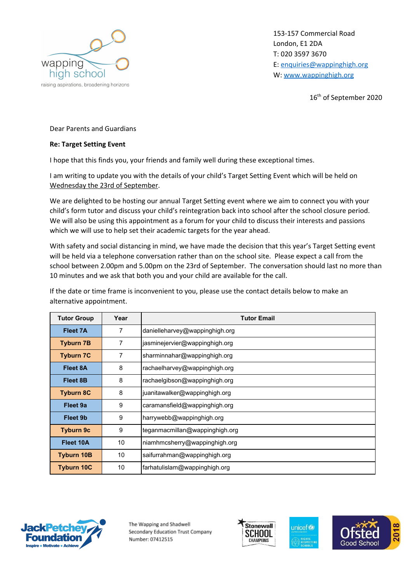

153-157 Commercial Road London, E1 2DA T: 020 3597 3670 E: [enquiries@wappinghigh.org](mailto:enquiries@wappinghigh.org) W: [www.wappinghigh.org](http://www.wappinghigh.org/)

16 th of September 2020

## Dear Parents and Guardians

## **Re: Target Setting Event**

I hope that this finds you, your friends and family well during these exceptional times.

I am writing to update you with the details of your child's Target Setting Event which will be held on Wednesday the 23rd of September.

We are delighted to be hosting our annual Target Setting event where we aim to connect you with your child's form tutor and discuss your child's reintegration back into school after the school closure period. We will also be using this appointment as a forum for your child to discuss their interests and passions which we will use to help set their academic targets for the year ahead.

With safety and social distancing in mind, we have made the decision that this year's Target Setting event will be held via a telephone conversation rather than on the school site. Please expect a call from the school between 2.00pm and 5.00pm on the 23rd of September. The conversation should last no more than 10 minutes and we ask that both you and your child are available for the call.

If the date or time frame is inconvenient to you, please use the contact details below to make an alternative appointment.

| <b>Tutor Group</b> | Year           | <b>Tutor Email</b>             |
|--------------------|----------------|--------------------------------|
| Fleet 7A           | 7              | danielleharvey@wappinghigh.org |
| <b>Tyburn 7B</b>   | $\overline{7}$ | jasminejervier@wappinghigh.org |
| <b>Tyburn 7C</b>   | 7              | sharminnahar@wappinghigh.org   |
| Fleet 8A           | 8              | rachaelharvey@wappinghigh.org  |
| Fleet 8B           | 8              | rachaelgibson@wappinghigh.org  |
| <b>Tyburn 8C</b>   | 8              | juanitawalker@wappinghigh.org  |
| Fleet 9a           | 9              | caramansfield@wappinghigh.org  |
| Fleet 9b           | 9              | harrywebb@wappinghigh.org      |
| <b>Tyburn 9c</b>   | 9              | teganmacmillan@wappinghigh.org |
| Fleet 10A          | 10             | niamhmcsherry@wappinghigh.org  |
| <b>Tyburn 10B</b>  | 10             | saifurrahman@wappinghigh.org   |
| <b>Tyburn 10C</b>  | 10             | farhatulislam@wappinghigh.org  |



The Wapping and Shadwell Secondary Education Trust Company Number: 07412515